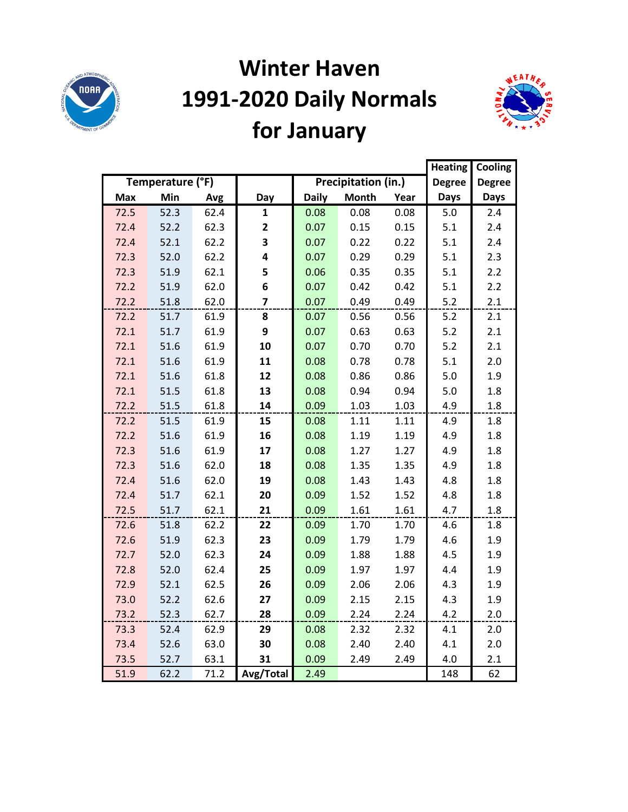

# **Winter Haven 1991-2020 Daily Normals for January**



|            |                  |      |                         |              |                            |      | <b>Heating</b> | Cooling       |
|------------|------------------|------|-------------------------|--------------|----------------------------|------|----------------|---------------|
|            | Temperature (°F) |      |                         |              | <b>Precipitation (in.)</b> |      | <b>Degree</b>  | <b>Degree</b> |
| <b>Max</b> | Min              | Avg  | Day                     | <b>Daily</b> | <b>Month</b>               | Year | <b>Days</b>    | <b>Days</b>   |
| 72.5       | 52.3             | 62.4 | 1                       | 0.08         | 0.08                       | 0.08 | 5.0            | 2.4           |
| 72.4       | 52.2             | 62.3 | $\overline{\mathbf{2}}$ | 0.07         | 0.15                       | 0.15 | 5.1            | 2.4           |
| 72.4       | 52.1             | 62.2 | 3                       | 0.07         | 0.22                       | 0.22 | 5.1            | 2.4           |
| 72.3       | 52.0             | 62.2 | 4                       | 0.07         | 0.29                       | 0.29 | 5.1            | 2.3           |
| 72.3       | 51.9             | 62.1 | 5                       | 0.06         | 0.35                       | 0.35 | 5.1            | 2.2           |
| 72.2       | 51.9             | 62.0 | 6                       | 0.07         | 0.42                       | 0.42 | 5.1            | 2.2           |
| 72.2       | 51.8             | 62.0 | $\overline{\mathbf{z}}$ | 0.07         | 0.49                       | 0.49 | 5.2            | 2.1           |
| 72.2       | 51.7             | 61.9 | 8                       | 0.07         | 0.56                       | 0.56 | 5.2            | 2.1           |
| 72.1       | 51.7             | 61.9 | 9                       | 0.07         | 0.63                       | 0.63 | 5.2            | 2.1           |
| 72.1       | 51.6             | 61.9 | 10                      | 0.07         | 0.70                       | 0.70 | $5.2$          | 2.1           |
| 72.1       | 51.6             | 61.9 | 11                      | 0.08         | 0.78                       | 0.78 | 5.1            | 2.0           |
| 72.1       | 51.6             | 61.8 | 12                      | 0.08         | 0.86                       | 0.86 | 5.0            | 1.9           |
| 72.1       | 51.5             | 61.8 | 13                      | 0.08         | 0.94                       | 0.94 | 5.0            | 1.8           |
| 72.2       | 51.5             | 61.8 | 14                      | 0.09         | 1.03                       | 1.03 | 4.9            | 1.8           |
| 72.2       | 51.5             | 61.9 | 15                      | 0.08         | 1.11                       | 1.11 | 4.9            | 1.8           |
| 72.2       | 51.6             | 61.9 | 16                      | 0.08         | 1.19                       | 1.19 | 4.9            | 1.8           |
| 72.3       | 51.6             | 61.9 | 17                      | 0.08         | 1.27                       | 1.27 | 4.9            | 1.8           |
| 72.3       | 51.6             | 62.0 | 18                      | 0.08         | 1.35                       | 1.35 | 4.9            | 1.8           |
| 72.4       | 51.6             | 62.0 | 19                      | 0.08         | 1.43                       | 1.43 | 4.8            | 1.8           |
| 72.4       | 51.7             | 62.1 | 20                      | 0.09         | 1.52                       | 1.52 | 4.8            | 1.8           |
| 72.5       | 51.7             | 62.1 | 21                      | 0.09         | 1.61                       | 1.61 | 4.7            | 1.8           |
| 72.6       | 51.8             | 62.2 | 22                      | 0.09         | 1.70                       | 1.70 | 4.6            | 1.8           |
| 72.6       | 51.9             | 62.3 | 23                      | 0.09         | 1.79                       | 1.79 | 4.6            | 1.9           |
| 72.7       | 52.0             | 62.3 | 24                      | 0.09         | 1.88                       | 1.88 | 4.5            | 1.9           |
| 72.8       | 52.0             | 62.4 | 25                      | 0.09         | 1.97                       | 1.97 | 4.4            | 1.9           |
| 72.9       | 52.1             | 62.5 | 26                      | 0.09         | 2.06                       | 2.06 | 4.3            | 1.9           |
| 73.0       | 52.2             | 62.6 | 27                      | 0.09         | 2.15                       | 2.15 | 4.3            | 1.9           |
| 73.2       | 52.3             | 62.7 | 28                      | 0.09         | 2.24                       | 2.24 | 4.2            | 2.0           |
| 73.3       | 52.4             | 62.9 | 29                      | 0.08         | 2.32                       | 2.32 | 4.1            | 2.0           |
| 73.4       | 52.6             | 63.0 | 30                      | 0.08         | 2.40                       | 2.40 | 4.1            | 2.0           |
| 73.5       | 52.7             | 63.1 | 31                      | 0.09         | 2.49                       | 2.49 | 4.0            | 2.1           |
| 51.9       | 62.2             | 71.2 | Avg/Total               | 2.49         |                            |      | 148            | 62            |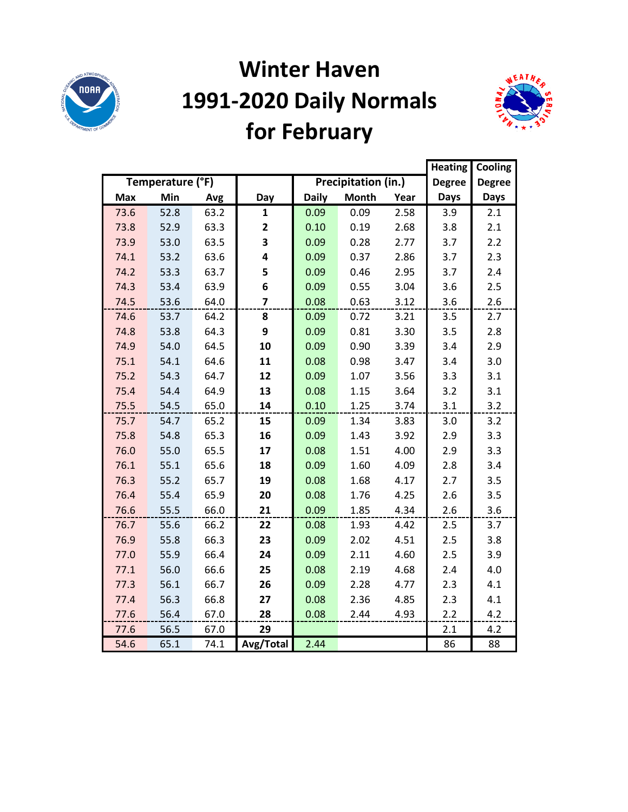

# **Winter Haven 1991-2020 Daily Normals for February**



|            |                  |      |                         |              |                     |      | <b>Heating</b> | Cooling       |
|------------|------------------|------|-------------------------|--------------|---------------------|------|----------------|---------------|
|            | Temperature (°F) |      |                         |              | Precipitation (in.) |      | <b>Degree</b>  | <b>Degree</b> |
| <b>Max</b> | Min              | Avg  | Day                     | <b>Daily</b> | <b>Month</b>        | Year | Days           | Days          |
| 73.6       | 52.8             | 63.2 | $\mathbf{1}$            | 0.09         | 0.09                | 2.58 | 3.9            | 2.1           |
| 73.8       | 52.9             | 63.3 | $\overline{\mathbf{2}}$ | 0.10         | 0.19                | 2.68 | 3.8            | 2.1           |
| 73.9       | 53.0             | 63.5 | 3                       | 0.09         | 0.28                | 2.77 | 3.7            | 2.2           |
| 74.1       | 53.2             | 63.6 | 4                       | 0.09         | 0.37                | 2.86 | 3.7            | 2.3           |
| 74.2       | 53.3             | 63.7 | 5                       | 0.09         | 0.46                | 2.95 | 3.7            | 2.4           |
| 74.3       | 53.4             | 63.9 | 6                       | 0.09         | 0.55                | 3.04 | 3.6            | 2.5           |
| 74.5       | 53.6             | 64.0 | $\overline{\mathbf{z}}$ | 0.08         | 0.63                | 3.12 | 3.6            | 2.6           |
| 74.6       | 53.7             | 64.2 | 8                       | 0.09         | 0.72                | 3.21 | 3.5            | 2.7           |
| 74.8       | 53.8             | 64.3 | 9                       | 0.09         | 0.81                | 3.30 | 3.5            | 2.8           |
| 74.9       | 54.0             | 64.5 | 10                      | 0.09         | 0.90                | 3.39 | 3.4            | 2.9           |
| 75.1       | 54.1             | 64.6 | 11                      | 0.08         | 0.98                | 3.47 | 3.4            | 3.0           |
| 75.2       | 54.3             | 64.7 | 12                      | 0.09         | 1.07                | 3.56 | 3.3            | 3.1           |
| 75.4       | 54.4             | 64.9 | 13                      | 0.08         | 1.15                | 3.64 | 3.2            | 3.1           |
| 75.5       | 54.5             | 65.0 | 14                      | 0.10         | 1.25                | 3.74 | 3.1            | 3.2           |
| 75.7       | 54.7             | 65.2 | 15                      | 0.09         | 1.34                | 3.83 | 3.0            | 3.2           |
| 75.8       | 54.8             | 65.3 | 16                      | 0.09         | 1.43                | 3.92 | 2.9            | 3.3           |
| 76.0       | 55.0             | 65.5 | 17                      | 0.08         | 1.51                | 4.00 | 2.9            | 3.3           |
| 76.1       | 55.1             | 65.6 | 18                      | 0.09         | 1.60                | 4.09 | 2.8            | 3.4           |
| 76.3       | 55.2             | 65.7 | 19                      | 0.08         | 1.68                | 4.17 | 2.7            | 3.5           |
| 76.4       | 55.4             | 65.9 | 20                      | 0.08         | 1.76                | 4.25 | 2.6            | 3.5           |
| 76.6       | 55.5             | 66.0 | 21                      | 0.09         | 1.85                | 4.34 | 2.6            | 3.6           |
| 76.7       | 55.6             | 66.2 | 22                      | 0.08         | 1.93                | 4.42 | 2.5            | 3.7           |
| 76.9       | 55.8             | 66.3 | 23                      | 0.09         | 2.02                | 4.51 | 2.5            | 3.8           |
| 77.0       | 55.9             | 66.4 | 24                      | 0.09         | 2.11                | 4.60 | 2.5            | 3.9           |
| 77.1       | 56.0             | 66.6 | 25                      | 0.08         | 2.19                | 4.68 | 2.4            | 4.0           |
| 77.3       | 56.1             | 66.7 | 26                      | 0.09         | 2.28                | 4.77 | 2.3            | 4.1           |
| 77.4       | 56.3             | 66.8 | 27                      | 0.08         | 2.36                | 4.85 | 2.3            | 4.1           |
| 77.6       | 56.4             | 67.0 | 28                      | 0.08         | 2.44                | 4.93 | 2.2            | 4.2           |
| 77.6       | 56.5             | 67.0 | 29                      |              |                     |      | 2.1            | 4.2           |
| 54.6       | 65.1             | 74.1 | Avg/Total               | 2.44         |                     |      | 86             | 88            |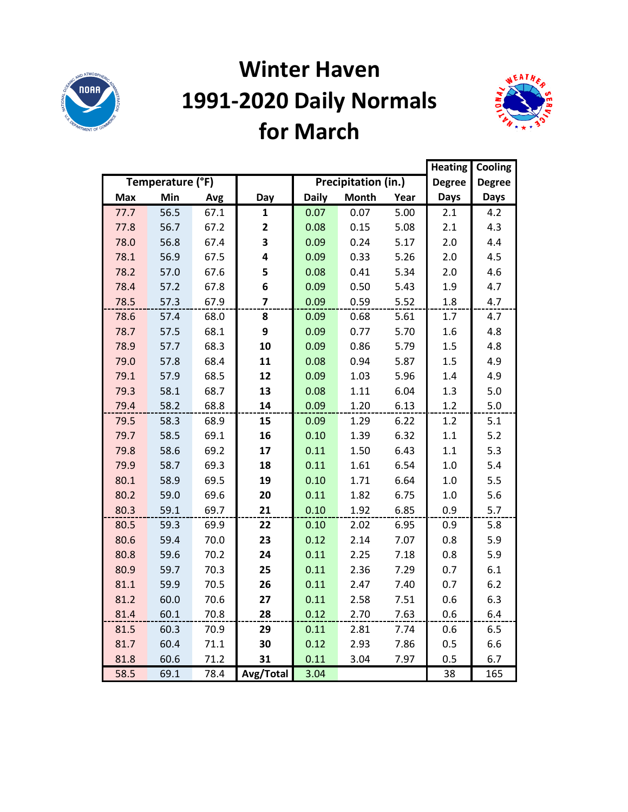

## **Winter Haven 1991-2020 Daily Normals for March**



|      |                  |      | <b>Heating</b>          | Cooling      |                     |      |               |               |
|------|------------------|------|-------------------------|--------------|---------------------|------|---------------|---------------|
|      | Temperature (°F) |      |                         |              | Precipitation (in.) |      | <b>Degree</b> | <b>Degree</b> |
| Max  | Min              | Avg  | Day                     | <b>Daily</b> | <b>Month</b>        | Year | <b>Days</b>   | <b>Days</b>   |
| 77.7 | 56.5             | 67.1 | $\mathbf{1}$            | 0.07         | 0.07                | 5.00 | 2.1           | 4.2           |
| 77.8 | 56.7             | 67.2 | $\mathbf{2}$            | 0.08         | 0.15                | 5.08 | 2.1           | 4.3           |
| 78.0 | 56.8             | 67.4 | 3                       | 0.09         | 0.24                | 5.17 | 2.0           | 4.4           |
| 78.1 | 56.9             | 67.5 | 4                       | 0.09         | 0.33                | 5.26 | 2.0           | 4.5           |
| 78.2 | 57.0             | 67.6 | 5                       | 0.08         | 0.41                | 5.34 | 2.0           | 4.6           |
| 78.4 | 57.2             | 67.8 | 6                       | 0.09         | 0.50                | 5.43 | 1.9           | 4.7           |
| 78.5 | 57.3             | 67.9 | $\overline{\mathbf{z}}$ | 0.09         | 0.59                | 5.52 | 1.8           | 4.7           |
| 78.6 | 57.4             | 68.0 | 8                       | 0.09         | 0.68                | 5.61 | 1.7           | 4.7           |
| 78.7 | 57.5             | 68.1 | 9                       | 0.09         | 0.77                | 5.70 | 1.6           | 4.8           |
| 78.9 | 57.7             | 68.3 | 10                      | 0.09         | 0.86                | 5.79 | 1.5           | 4.8           |
| 79.0 | 57.8             | 68.4 | 11                      | 0.08         | 0.94                | 5.87 | 1.5           | 4.9           |
| 79.1 | 57.9             | 68.5 | 12                      | 0.09         | 1.03                | 5.96 | 1.4           | 4.9           |
| 79.3 | 58.1             | 68.7 | 13                      | 0.08         | 1.11                | 6.04 | 1.3           | $5.0$         |
| 79.4 | 58.2             | 68.8 | 14                      | 0.09         | 1.20                | 6.13 | 1.2           | 5.0           |
| 79.5 | 58.3             | 68.9 | 15                      | 0.09         | 1.29                | 6.22 | 1.2           | 5.1           |
| 79.7 | 58.5             | 69.1 | 16                      | 0.10         | 1.39                | 6.32 | 1.1           | 5.2           |
| 79.8 | 58.6             | 69.2 | 17                      | 0.11         | 1.50                | 6.43 | 1.1           | 5.3           |
| 79.9 | 58.7             | 69.3 | 18                      | 0.11         | 1.61                | 6.54 | 1.0           | 5.4           |
| 80.1 | 58.9             | 69.5 | 19                      | 0.10         | 1.71                | 6.64 | 1.0           | 5.5           |
| 80.2 | 59.0             | 69.6 | 20                      | 0.11         | 1.82                | 6.75 | 1.0           | 5.6           |
| 80.3 | 59.1             | 69.7 | 21                      | 0.10         | 1.92                | 6.85 | 0.9           | 5.7           |
| 80.5 | 59.3             | 69.9 | 22                      | 0.10         | 2.02                | 6.95 | 0.9           | 5.8           |
| 80.6 | 59.4             | 70.0 | 23                      | 0.12         | 2.14                | 7.07 | 0.8           | 5.9           |
| 80.8 | 59.6             | 70.2 | 24                      | 0.11         | 2.25                | 7.18 | 0.8           | 5.9           |
| 80.9 | 59.7             | 70.3 | 25                      | 0.11         | 2.36                | 7.29 | 0.7           | 6.1           |
| 81.1 | 59.9             | 70.5 | 26                      | 0.11         | 2.47                | 7.40 | 0.7           | 6.2           |
| 81.2 | 60.0             | 70.6 | 27                      | 0.11         | 2.58                | 7.51 | 0.6           | 6.3           |
| 81.4 | 60.1             | 70.8 | 28                      | 0.12         | 2.70                | 7.63 | 0.6           | 6.4           |
| 81.5 | 60.3             | 70.9 | 29                      | 0.11         | 2.81                | 7.74 | 0.6           | 6.5           |
| 81.7 | 60.4             | 71.1 | 30                      | 0.12         | 2.93                | 7.86 | 0.5           | 6.6           |
| 81.8 | 60.6             | 71.2 | 31                      | 0.11         | 3.04                | 7.97 | 0.5           | 6.7           |
| 58.5 | 69.1             | 78.4 | Avg/Total               | 3.04         |                     |      | 38            | 165           |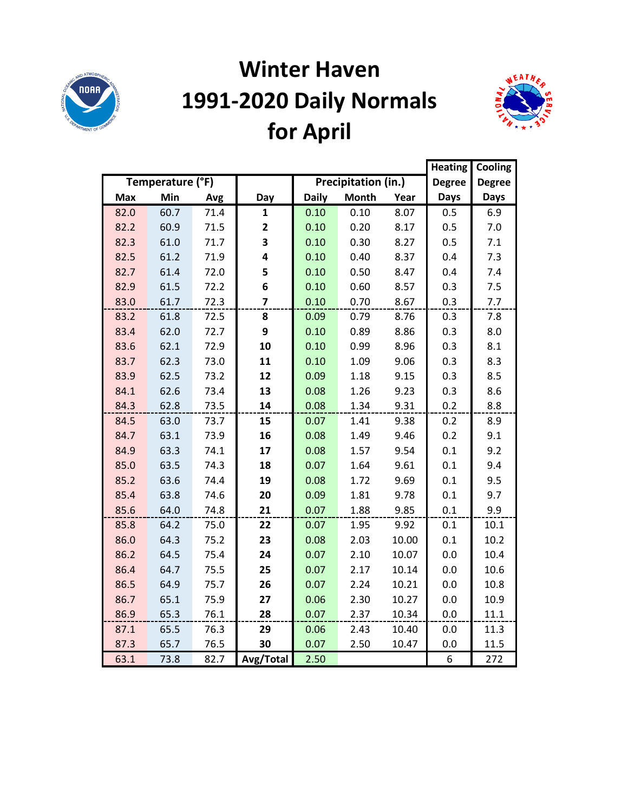

# **Winter Haven 1991-2020 Daily Normals for April**



|            |                  |      |                |              |                     |       | <b>Heating</b> | Cooling       |
|------------|------------------|------|----------------|--------------|---------------------|-------|----------------|---------------|
|            | Temperature (°F) |      |                |              | Precipitation (in.) |       | <b>Degree</b>  | <b>Degree</b> |
| <b>Max</b> | Min              | Avg  | Day            | <b>Daily</b> | <b>Month</b>        | Year  | <b>Days</b>    | <b>Days</b>   |
| 82.0       | 60.7             | 71.4 | $\mathbf{1}$   | 0.10         | 0.10                | 8.07  | 0.5            | 6.9           |
| 82.2       | 60.9             | 71.5 | 2              | 0.10         | 0.20                | 8.17  | 0.5            | 7.0           |
| 82.3       | 61.0             | 71.7 | 3              | 0.10         | 0.30                | 8.27  | 0.5            | 7.1           |
| 82.5       | 61.2             | 71.9 | 4              | 0.10         | 0.40                | 8.37  | 0.4            | 7.3           |
| 82.7       | 61.4             | 72.0 | 5              | 0.10         | 0.50                | 8.47  | 0.4            | 7.4           |
| 82.9       | 61.5             | 72.2 | 6              | 0.10         | 0.60                | 8.57  | 0.3            | 7.5           |
| 83.0       | 61.7             | 72.3 | $\overline{7}$ | 0.10         | 0.70                | 8.67  | 0.3            | 7.7           |
| 83.2       | 61.8             | 72.5 | 8              | 0.09         | 0.79                | 8.76  | 0.3            | 7.8           |
| 83.4       | 62.0             | 72.7 | 9              | 0.10         | 0.89                | 8.86  | 0.3            | 8.0           |
| 83.6       | 62.1             | 72.9 | 10             | 0.10         | 0.99                | 8.96  | 0.3            | 8.1           |
| 83.7       | 62.3             | 73.0 | 11             | 0.10         | 1.09                | 9.06  | 0.3            | 8.3           |
| 83.9       | 62.5             | 73.2 | 12             | 0.09         | 1.18                | 9.15  | 0.3            | 8.5           |
| 84.1       | 62.6             | 73.4 | 13             | 0.08         | 1.26                | 9.23  | 0.3            | 8.6           |
| 84.3       | 62.8             | 73.5 | 14             | 0.08         | 1.34                | 9.31  | 0.2            | 8.8           |
| 84.5       | 63.0             | 73.7 | 15             | 0.07         | 1.41                | 9.38  | 0.2            | 8.9           |
| 84.7       | 63.1             | 73.9 | 16             | 0.08         | 1.49                | 9.46  | 0.2            | 9.1           |
| 84.9       | 63.3             | 74.1 | 17             | 0.08         | 1.57                | 9.54  | 0.1            | 9.2           |
| 85.0       | 63.5             | 74.3 | 18             | 0.07         | 1.64                | 9.61  | 0.1            | 9.4           |
| 85.2       | 63.6             | 74.4 | 19             | 0.08         | 1.72                | 9.69  | 0.1            | 9.5           |
| 85.4       | 63.8             | 74.6 | 20             | 0.09         | 1.81                | 9.78  | 0.1            | 9.7           |
| 85.6       | 64.0             | 74.8 | 21             | 0.07         | 1.88                | 9.85  | 0.1            | 9.9           |
| 85.8       | 64.2             | 75.0 | 22             | 0.07         | 1.95                | 9.92  | 0.1            | 10.1          |
| 86.0       | 64.3             | 75.2 | 23             | 0.08         | 2.03                | 10.00 | 0.1            | 10.2          |
| 86.2       | 64.5             | 75.4 | 24             | 0.07         | 2.10                | 10.07 | 0.0            | 10.4          |
| 86.4       | 64.7             | 75.5 | 25             | 0.07         | 2.17                | 10.14 | 0.0            | 10.6          |
| 86.5       | 64.9             | 75.7 | 26             | 0.07         | 2.24                | 10.21 | 0.0            | 10.8          |
| 86.7       | 65.1             | 75.9 | 27             | 0.06         | 2.30                | 10.27 | 0.0            | 10.9          |
| 86.9       | 65.3             | 76.1 | 28             | 0.07         | 2.37                | 10.34 | 0.0            | 11.1          |
| 87.1       | 65.5             | 76.3 | 29             | 0.06         | 2.43                | 10.40 | 0.0            | 11.3          |
| 87.3       | 65.7             | 76.5 | 30             | 0.07         | 2.50                | 10.47 | 0.0            | 11.5          |
| 63.1       | 73.8             | 82.7 | Avg/Total      | 2.50         |                     |       | 6              | 272           |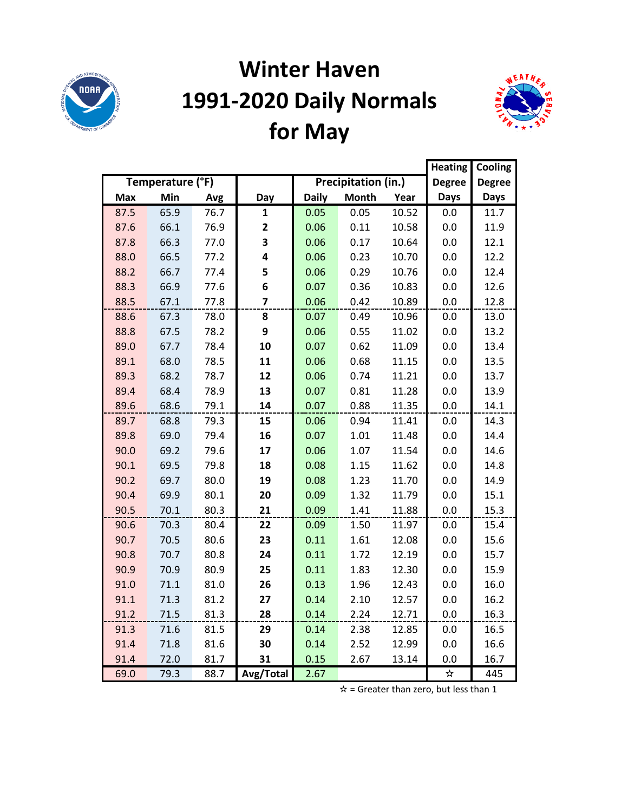

# **Winter Haven 1991-2020 Daily Normals for May**



|            |                  |      | <b>Heating</b>          | Cooling      |                     |       |               |               |
|------------|------------------|------|-------------------------|--------------|---------------------|-------|---------------|---------------|
|            | Temperature (°F) |      |                         |              | Precipitation (in.) |       | <b>Degree</b> | <b>Degree</b> |
| <b>Max</b> | Min              | Avg  | Day                     | <b>Daily</b> | <b>Month</b>        | Year  | <b>Days</b>   | Days          |
| 87.5       | 65.9             | 76.7 | 1                       | 0.05         | 0.05                | 10.52 | 0.0           | 11.7          |
| 87.6       | 66.1             | 76.9 | $\mathbf{2}$            | 0.06         | 0.11                | 10.58 | 0.0           | 11.9          |
| 87.8       | 66.3             | 77.0 | 3                       | 0.06         | 0.17                | 10.64 | 0.0           | 12.1          |
| 88.0       | 66.5             | 77.2 | 4                       | 0.06         | 0.23                | 10.70 | 0.0           | 12.2          |
| 88.2       | 66.7             | 77.4 | 5                       | 0.06         | 0.29                | 10.76 | 0.0           | 12.4          |
| 88.3       | 66.9             | 77.6 | 6                       | 0.07         | 0.36                | 10.83 | 0.0           | 12.6          |
| 88.5       | 67.1             | 77.8 | $\overline{\mathbf{z}}$ | 0.06         | 0.42                | 10.89 | 0.0           | 12.8          |
| 88.6       | 67.3             | 78.0 | 8                       | 0.07         | 0.49                | 10.96 | 0.0           | 13.0          |
| 88.8       | 67.5             | 78.2 | 9                       | 0.06         | 0.55                | 11.02 | 0.0           | 13.2          |
| 89.0       | 67.7             | 78.4 | 10                      | 0.07         | 0.62                | 11.09 | 0.0           | 13.4          |
| 89.1       | 68.0             | 78.5 | 11                      | 0.06         | 0.68                | 11.15 | 0.0           | 13.5          |
| 89.3       | 68.2             | 78.7 | 12                      | 0.06         | 0.74                | 11.21 | 0.0           | 13.7          |
| 89.4       | 68.4             | 78.9 | 13                      | 0.07         | 0.81                | 11.28 | 0.0           | 13.9          |
| 89.6       | 68.6             | 79.1 | 14                      | 0.07         | 0.88                | 11.35 | 0.0           | 14.1          |
| 89.7       | 68.8             | 79.3 | 15                      | 0.06         | 0.94                | 11.41 | 0.0           | 14.3          |
| 89.8       | 69.0             | 79.4 | 16                      | 0.07         | 1.01                | 11.48 | 0.0           | 14.4          |
| 90.0       | 69.2             | 79.6 | 17                      | 0.06         | 1.07                | 11.54 | 0.0           | 14.6          |
| 90.1       | 69.5             | 79.8 | 18                      | 0.08         | 1.15                | 11.62 | 0.0           | 14.8          |
| 90.2       | 69.7             | 80.0 | 19                      | 0.08         | 1.23                | 11.70 | 0.0           | 14.9          |
| 90.4       | 69.9             | 80.1 | 20                      | 0.09         | 1.32                | 11.79 | 0.0           | 15.1          |
| 90.5       | 70.1             | 80.3 | 21                      | 0.09         | 1.41                | 11.88 | 0.0           | 15.3          |
| 90.6       | 70.3             | 80.4 | 22                      | 0.09         | 1.50                | 11.97 | 0.0           | 15.4          |
| 90.7       | 70.5             | 80.6 | 23                      | 0.11         | 1.61                | 12.08 | 0.0           | 15.6          |
| 90.8       | 70.7             | 80.8 | 24                      | 0.11         | 1.72                | 12.19 | 0.0           | 15.7          |
| 90.9       | 70.9             | 80.9 | 25                      | 0.11         | 1.83                | 12.30 | 0.0           | 15.9          |
| 91.0       | 71.1             | 81.0 | 26                      | 0.13         | 1.96                | 12.43 | 0.0           | 16.0          |
| 91.1       | 71.3             | 81.2 | 27                      | 0.14         | 2.10                | 12.57 | 0.0           | 16.2          |
| 91.2       | 71.5             | 81.3 | 28                      | 0.14         | 2.24                | 12.71 | 0.0           | 16.3          |
| 91.3       | 71.6             | 81.5 | 29                      | 0.14         | 2.38                | 12.85 | 0.0           | 16.5          |
| 91.4       | 71.8             | 81.6 | 30                      | 0.14         | 2.52                | 12.99 | 0.0           | 16.6          |
| 91.4       | 72.0             | 81.7 | 31                      | 0.15         | 2.67                | 13.14 | 0.0           | 16.7          |
| 69.0       | 79.3             | 88.7 | Avg/Total               | 2.67         |                     |       | ☆             | 445           |

 $\hat{x}$  = Greater than zero, but less than 1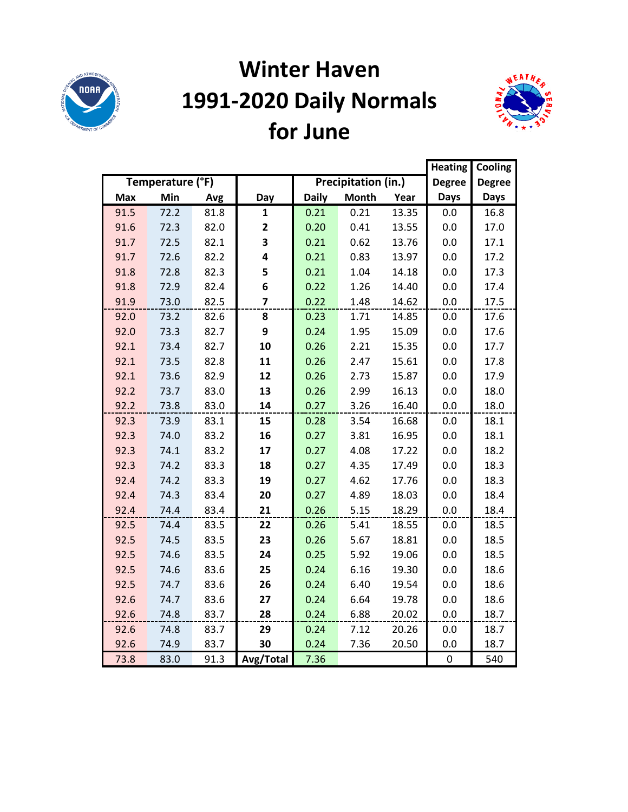

# **Winter Haven 1991-2020 Daily Normals for June**



|            |                  |      |                |              |                     |       | <b>Heating</b> | Cooling       |
|------------|------------------|------|----------------|--------------|---------------------|-------|----------------|---------------|
|            | Temperature (°F) |      |                |              | Precipitation (in.) |       | <b>Degree</b>  | <b>Degree</b> |
| <b>Max</b> | Min              | Avg  | Day            | <b>Daily</b> | <b>Month</b>        | Year  | <b>Days</b>    | <b>Days</b>   |
| 91.5       | 72.2             | 81.8 | $\mathbf{1}$   | 0.21         | 0.21                | 13.35 | 0.0            | 16.8          |
| 91.6       | 72.3             | 82.0 | 2              | 0.20         | 0.41                | 13.55 | 0.0            | 17.0          |
| 91.7       | 72.5             | 82.1 | 3              | 0.21         | 0.62                | 13.76 | 0.0            | 17.1          |
| 91.7       | 72.6             | 82.2 | 4              | 0.21         | 0.83                | 13.97 | 0.0            | 17.2          |
| 91.8       | 72.8             | 82.3 | 5              | 0.21         | 1.04                | 14.18 | 0.0            | 17.3          |
| 91.8       | 72.9             | 82.4 | 6              | 0.22         | 1.26                | 14.40 | 0.0            | 17.4          |
| 91.9       | 73.0             | 82.5 | $\overline{7}$ | 0.22         | 1.48                | 14.62 | 0.0            | 17.5          |
| 92.0       | 73.2             | 82.6 | 8              | 0.23         | 1.71                | 14.85 | 0.0            | 17.6          |
| 92.0       | 73.3             | 82.7 | 9              | 0.24         | 1.95                | 15.09 | 0.0            | 17.6          |
| 92.1       | 73.4             | 82.7 | 10             | 0.26         | 2.21                | 15.35 | 0.0            | 17.7          |
| 92.1       | 73.5             | 82.8 | 11             | 0.26         | 2.47                | 15.61 | 0.0            | 17.8          |
| 92.1       | 73.6             | 82.9 | 12             | 0.26         | 2.73                | 15.87 | 0.0            | 17.9          |
| 92.2       | 73.7             | 83.0 | 13             | 0.26         | 2.99                | 16.13 | 0.0            | 18.0          |
| 92.2       | 73.8             | 83.0 | 14             | 0.27         | 3.26                | 16.40 | 0.0            | 18.0          |
| 92.3       | 73.9             | 83.1 | 15             | 0.28         | 3.54                | 16.68 | 0.0            | 18.1          |
| 92.3       | 74.0             | 83.2 | 16             | 0.27         | 3.81                | 16.95 | 0.0            | 18.1          |
| 92.3       | 74.1             | 83.2 | 17             | 0.27         | 4.08                | 17.22 | 0.0            | 18.2          |
| 92.3       | 74.2             | 83.3 | 18             | 0.27         | 4.35                | 17.49 | 0.0            | 18.3          |
| 92.4       | 74.2             | 83.3 | 19             | 0.27         | 4.62                | 17.76 | 0.0            | 18.3          |
| 92.4       | 74.3             | 83.4 | 20             | 0.27         | 4.89                | 18.03 | 0.0            | 18.4          |
| 92.4       | 74.4             | 83.4 | 21             | 0.26         | 5.15                | 18.29 | 0.0            | 18.4          |
| 92.5       | 74.4             | 83.5 | 22             | 0.26         | 5.41                | 18.55 | 0.0            | 18.5          |
| 92.5       | 74.5             | 83.5 | 23             | 0.26         | 5.67                | 18.81 | 0.0            | 18.5          |
| 92.5       | 74.6             | 83.5 | 24             | 0.25         | 5.92                | 19.06 | 0.0            | 18.5          |
| 92.5       | 74.6             | 83.6 | 25             | 0.24         | 6.16                | 19.30 | 0.0            | 18.6          |
| 92.5       | 74.7             | 83.6 | 26             | 0.24         | 6.40                | 19.54 | 0.0            | 18.6          |
| 92.6       | 74.7             | 83.6 | 27             | 0.24         | 6.64                | 19.78 | 0.0            | 18.6          |
| 92.6       | 74.8             | 83.7 | 28             | 0.24         | 6.88                | 20.02 | 0.0            | 18.7          |
| 92.6       | 74.8             | 83.7 | 29             | 0.24         | 7.12                | 20.26 | 0.0            | 18.7          |
| 92.6       | 74.9             | 83.7 | 30             | 0.24         | 7.36                | 20.50 | 0.0            | 18.7          |
| 73.8       | 83.0             | 91.3 | Avg/Total      | 7.36         |                     |       | $\pmb{0}$      | 540           |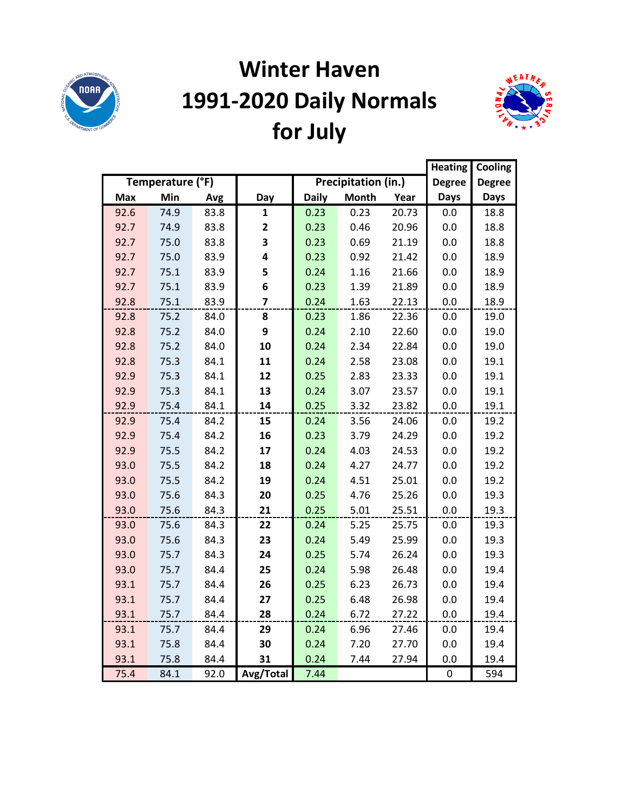

# **Winter Haven 1991-2020 Daily Normals for July**



|            |                  |      |           |              |                     |       | <b>Heating</b> | Cooling       |
|------------|------------------|------|-----------|--------------|---------------------|-------|----------------|---------------|
|            | Temperature (°F) |      |           |              | Precipitation (in.) |       | <b>Degree</b>  | <b>Degree</b> |
| <b>Max</b> | Min              | Avg  | Day       | <b>Daily</b> | <b>Month</b>        | Year  | <b>Days</b>    | <b>Days</b>   |
| 92.6       | 74.9             | 83.8 | 1         | 0.23         | 0.23                | 20.73 | 0.0            | 18.8          |
| 92.7       | 74.9             | 83.8 | 2         | 0.23         | 0.46                | 20.96 | 0.0            | 18.8          |
| 92.7       | 75.0             | 83.8 | 3         | 0.23         | 0.69                | 21.19 | 0.0            | 18.8          |
| 92.7       | 75.0             | 83.9 | 4         | 0.23         | 0.92                | 21.42 | 0.0            | 18.9          |
| 92.7       | 75.1             | 83.9 | 5         | 0.24         | 1.16                | 21.66 | 0.0            | 18.9          |
| 92.7       | 75.1             | 83.9 | 6         | 0.23         | 1.39                | 21.89 | 0.0            | 18.9          |
| 92.8       | 75.1             | 83.9 | 7         | 0.24         | 1.63                | 22.13 | 0.0            | 18.9          |
| 92.8       | 75.2             | 84.0 | 8         | 0.23         | 1.86                | 22.36 | 0.0            | 19.0          |
| 92.8       | 75.2             | 84.0 | 9         | 0.24         | 2.10                | 22.60 | 0.0            | 19.0          |
| 92.8       | 75.2             | 84.0 | 10        | 0.24         | 2.34                | 22.84 | 0.0            | 19.0          |
| 92.8       | 75.3             | 84.1 | 11        | 0.24         | 2.58                | 23.08 | 0.0            | 19.1          |
| 92.9       | 75.3             | 84.1 | 12        | 0.25         | 2.83                | 23.33 | 0.0            | 19.1          |
| 92.9       | 75.3             | 84.1 | 13        | 0.24         | 3.07                | 23.57 | 0.0            | 19.1          |
| 92.9       | 75.4             | 84.1 | 14        | 0.25         | 3.32                | 23.82 | 0.0            | 19.1          |
| 92.9       | 75.4             | 84.2 | 15        | 0.24         | 3.56                | 24.06 | 0.0            | 19.2          |
| 92.9       | 75.4             | 84.2 | 16        | 0.23         | 3.79                | 24.29 | 0.0            | 19.2          |
| 92.9       | 75.5             | 84.2 | 17        | 0.24         | 4.03                | 24.53 | 0.0            | 19.2          |
| 93.0       | 75.5             | 84.2 | 18        | 0.24         | 4.27                | 24.77 | 0.0            | 19.2          |
| 93.0       | 75.5             | 84.2 | 19        | 0.24         | 4.51                | 25.01 | 0.0            | 19.2          |
| 93.0       | 75.6             | 84.3 | 20        | 0.25         | 4.76                | 25.26 | 0.0            | 19.3          |
| 93.0       | 75.6             | 84.3 | 21        | 0.25         | 5.01                | 25.51 | 0.0            | 19.3          |
| 93.0       | 75.6             | 84.3 | 22        | 0.24         | 5.25                | 25.75 | 0.0            | 19.3          |
| 93.0       | 75.6             | 84.3 | 23        | 0.24         | 5.49                | 25.99 | 0.0            | 19.3          |
| 93.0       | 75.7             | 84.3 | 24        | 0.25         | 5.74                | 26.24 | 0.0            | 19.3          |
| 93.0       | 75.7             | 84.4 | 25        | 0.24         | 5.98                | 26.48 | 0.0            | 19.4          |
| 93.1       | 75.7             | 84.4 | 26        | 0.25         | 6.23                | 26.73 | 0.0            | 19.4          |
| 93.1       | 75.7             | 84.4 | 27        | 0.25         | 6.48                | 26.98 | 0.0            | 19.4          |
| 93.1       | 75.7             | 84.4 | 28        | 0.24         | 6.72                | 27.22 | 0.0            | 19.4          |
| 93.1       | 75.7             | 84.4 | 29        | 0.24         | 6.96                | 27.46 | 0.0            | 19.4          |
| 93.1       | 75.8             | 84.4 | 30        | 0.24         | 7.20                | 27.70 | 0.0            | 19.4          |
| 93.1       | 75.8             | 84.4 | 31        | 0.24         | 7.44                | 27.94 | 0.0            | 19.4          |
| 75.4       | 84.1             | 92.0 | Avg/Total | 7.44         |                     |       | $\pmb{0}$      | 594           |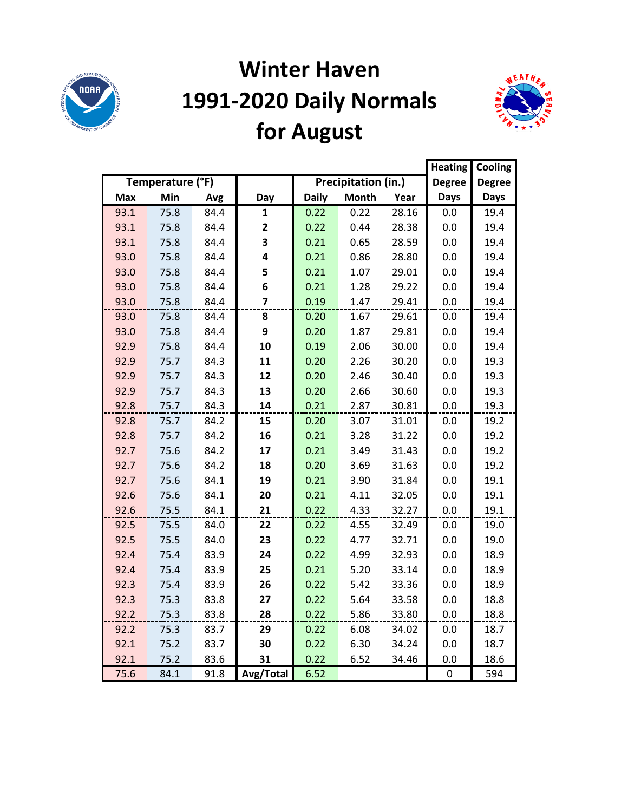

# **Winter Haven 1991-2020 Daily Normals for August**



|            |                  |      |              |              |                     |       | <b>Heating</b> | Cooling       |
|------------|------------------|------|--------------|--------------|---------------------|-------|----------------|---------------|
|            | Temperature (°F) |      |              |              | Precipitation (in.) |       | <b>Degree</b>  | <b>Degree</b> |
| <b>Max</b> | Min              | Avg  | Day          | <b>Daily</b> | <b>Month</b>        | Year  | <b>Days</b>    | <b>Days</b>   |
| 93.1       | 75.8             | 84.4 | 1            | 0.22         | 0.22                | 28.16 | 0.0            | 19.4          |
| 93.1       | 75.8             | 84.4 | $\mathbf{2}$ | 0.22         | 0.44                | 28.38 | 0.0            | 19.4          |
| 93.1       | 75.8             | 84.4 | 3            | 0.21         | 0.65                | 28.59 | 0.0            | 19.4          |
| 93.0       | 75.8             | 84.4 | 4            | 0.21         | 0.86                | 28.80 | 0.0            | 19.4          |
| 93.0       | 75.8             | 84.4 | 5            | 0.21         | 1.07                | 29.01 | 0.0            | 19.4          |
| 93.0       | 75.8             | 84.4 | 6            | 0.21         | 1.28                | 29.22 | 0.0            | 19.4          |
| 93.0       | 75.8             | 84.4 | 7            | 0.19         | 1.47                | 29.41 | 0.0            | 19.4          |
| 93.0       | 75.8             | 84.4 | 8            | 0.20         | 1.67                | 29.61 | 0.0            | 19.4          |
| 93.0       | 75.8             | 84.4 | 9            | 0.20         | 1.87                | 29.81 | 0.0            | 19.4          |
| 92.9       | 75.8             | 84.4 | 10           | 0.19         | 2.06                | 30.00 | 0.0            | 19.4          |
| 92.9       | 75.7             | 84.3 | 11           | 0.20         | 2.26                | 30.20 | 0.0            | 19.3          |
| 92.9       | 75.7             | 84.3 | 12           | 0.20         | 2.46                | 30.40 | 0.0            | 19.3          |
| 92.9       | 75.7             | 84.3 | 13           | 0.20         | 2.66                | 30.60 | 0.0            | 19.3          |
| 92.8       | 75.7             | 84.3 | 14           | 0.21         | 2.87                | 30.81 | 0.0            | 19.3          |
| 92.8       | 75.7             | 84.2 | 15           | 0.20         | 3.07                | 31.01 | 0.0            | 19.2          |
| 92.8       | 75.7             | 84.2 | 16           | 0.21         | 3.28                | 31.22 | 0.0            | 19.2          |
| 92.7       | 75.6             | 84.2 | 17           | 0.21         | 3.49                | 31.43 | 0.0            | 19.2          |
| 92.7       | 75.6             | 84.2 | 18           | 0.20         | 3.69                | 31.63 | 0.0            | 19.2          |
| 92.7       | 75.6             | 84.1 | 19           | 0.21         | 3.90                | 31.84 | 0.0            | 19.1          |
| 92.6       | 75.6             | 84.1 | 20           | 0.21         | 4.11                | 32.05 | 0.0            | 19.1          |
| 92.6       | 75.5             | 84.1 | 21           | 0.22         | 4.33                | 32.27 | 0.0            | 19.1          |
| 92.5       | 75.5             | 84.0 | 22           | 0.22         | 4.55                | 32.49 | 0.0            | 19.0          |
| 92.5       | 75.5             | 84.0 | 23           | 0.22         | 4.77                | 32.71 | 0.0            | 19.0          |
| 92.4       | 75.4             | 83.9 | 24           | 0.22         | 4.99                | 32.93 | 0.0            | 18.9          |
| 92.4       | 75.4             | 83.9 | 25           | 0.21         | 5.20                | 33.14 | 0.0            | 18.9          |
| 92.3       | 75.4             | 83.9 | 26           | 0.22         | 5.42                | 33.36 | 0.0            | 18.9          |
| 92.3       | 75.3             | 83.8 | 27           | 0.22         | 5.64                | 33.58 | 0.0            | 18.8          |
| 92.2       | 75.3             | 83.8 | 28           | 0.22         | 5.86                | 33.80 | 0.0            | 18.8          |
| 92.2       | 75.3             | 83.7 | 29           | 0.22         | 6.08                | 34.02 | 0.0            | 18.7          |
| 92.1       | 75.2             | 83.7 | 30           | 0.22         | 6.30                | 34.24 | 0.0            | 18.7          |
| 92.1       | 75.2             | 83.6 | 31           | 0.22         | 6.52                | 34.46 | 0.0            | 18.6          |
| 75.6       | 84.1             | 91.8 | Avg/Total    | 6.52         |                     |       | $\pmb{0}$      | 594           |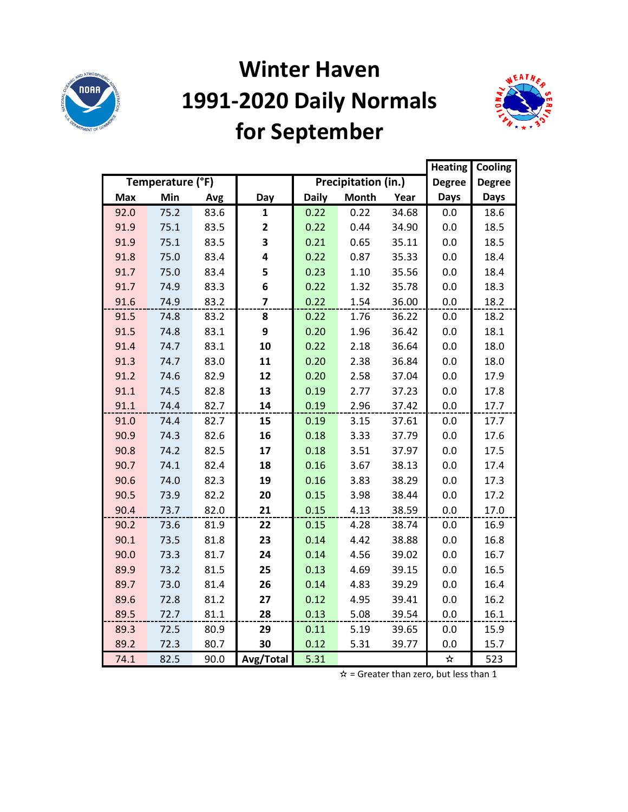

# **Winter Haven 1991-2020 Daily Normals for September**



|            |                  |      |                |              |                     |       | <b>Heating</b> | Cooling       |
|------------|------------------|------|----------------|--------------|---------------------|-------|----------------|---------------|
|            | Temperature (°F) |      |                |              | Precipitation (in.) |       | <b>Degree</b>  | <b>Degree</b> |
| <b>Max</b> | Min              | Avg  | Day            | <b>Daily</b> | <b>Month</b>        | Year  | <b>Days</b>    | <b>Days</b>   |
| 92.0       | 75.2             | 83.6 | 1              | 0.22         | 0.22                | 34.68 | 0.0            | 18.6          |
| 91.9       | 75.1             | 83.5 | 2              | 0.22         | 0.44                | 34.90 | 0.0            | 18.5          |
| 91.9       | 75.1             | 83.5 | 3              | 0.21         | 0.65                | 35.11 | 0.0            | 18.5          |
| 91.8       | 75.0             | 83.4 | 4              | 0.22         | 0.87                | 35.33 | 0.0            | 18.4          |
| 91.7       | 75.0             | 83.4 | 5              | 0.23         | 1.10                | 35.56 | 0.0            | 18.4          |
| 91.7       | 74.9             | 83.3 | 6              | 0.22         | 1.32                | 35.78 | 0.0            | 18.3          |
| 91.6       | 74.9             | 83.2 | $\overline{7}$ | 0.22         | 1.54                | 36.00 | 0.0            | 18.2          |
| 91.5       | 74.8             | 83.2 | 8              | 0.22         | 1.76                | 36.22 | 0.0            | 18.2          |
| 91.5       | 74.8             | 83.1 | 9              | 0.20         | 1.96                | 36.42 | 0.0            | 18.1          |
| 91.4       | 74.7             | 83.1 | 10             | 0.22         | 2.18                | 36.64 | 0.0            | 18.0          |
| 91.3       | 74.7             | 83.0 | 11             | 0.20         | 2.38                | 36.84 | 0.0            | 18.0          |
| 91.2       | 74.6             | 82.9 | 12             | 0.20         | 2.58                | 37.04 | 0.0            | 17.9          |
| 91.1       | 74.5             | 82.8 | 13             | 0.19         | 2.77                | 37.23 | 0.0            | 17.8          |
| 91.1       | 74.4             | 82.7 | 14             | 0.19         | 2.96                | 37.42 | 0.0            | 17.7          |
| 91.0       | 74.4             | 82.7 | 15             | 0.19         | 3.15                | 37.61 | 0.0            | 17.7          |
| 90.9       | 74.3             | 82.6 | 16             | 0.18         | 3.33                | 37.79 | 0.0            | 17.6          |
| 90.8       | 74.2             | 82.5 | 17             | 0.18         | 3.51                | 37.97 | 0.0            | 17.5          |
| 90.7       | 74.1             | 82.4 | 18             | 0.16         | 3.67                | 38.13 | 0.0            | 17.4          |
| 90.6       | 74.0             | 82.3 | 19             | 0.16         | 3.83                | 38.29 | 0.0            | 17.3          |
| 90.5       | 73.9             | 82.2 | 20             | 0.15         | 3.98                | 38.44 | 0.0            | 17.2          |
| 90.4       | 73.7             | 82.0 | 21             | 0.15         | 4.13                | 38.59 | 0.0            | 17.0          |
| 90.2       | 73.6             | 81.9 | 22             | 0.15         | 4.28                | 38.74 | 0.0            | 16.9          |
| 90.1       | 73.5             | 81.8 | 23             | 0.14         | 4.42                | 38.88 | 0.0            | 16.8          |
| 90.0       | 73.3             | 81.7 | 24             | 0.14         | 4.56                | 39.02 | 0.0            | 16.7          |
| 89.9       | 73.2             | 81.5 | 25             | 0.13         | 4.69                | 39.15 | 0.0            | 16.5          |
| 89.7       | 73.0             | 81.4 | 26             | 0.14         | 4.83                | 39.29 | 0.0            | 16.4          |
| 89.6       | 72.8             | 81.2 | 27             | 0.12         | 4.95                | 39.41 | 0.0            | 16.2          |
| 89.5       | 72.7             | 81.1 | 28             | 0.13         | 5.08                | 39.54 | 0.0            | 16.1          |
| 89.3       | 72.5             | 80.9 | 29             | 0.11         | 5.19                | 39.65 | 0.0            | 15.9          |
| 89.2       | 72.3             | 80.7 | 30             | 0.12         | 5.31                | 39.77 | 0.0            | 15.7          |
| 74.1       | 82.5             | 90.0 | Avg/Total      | 5.31         |                     |       | ☆              | 523           |

 $\hat{x}$  = Greater than zero, but less than 1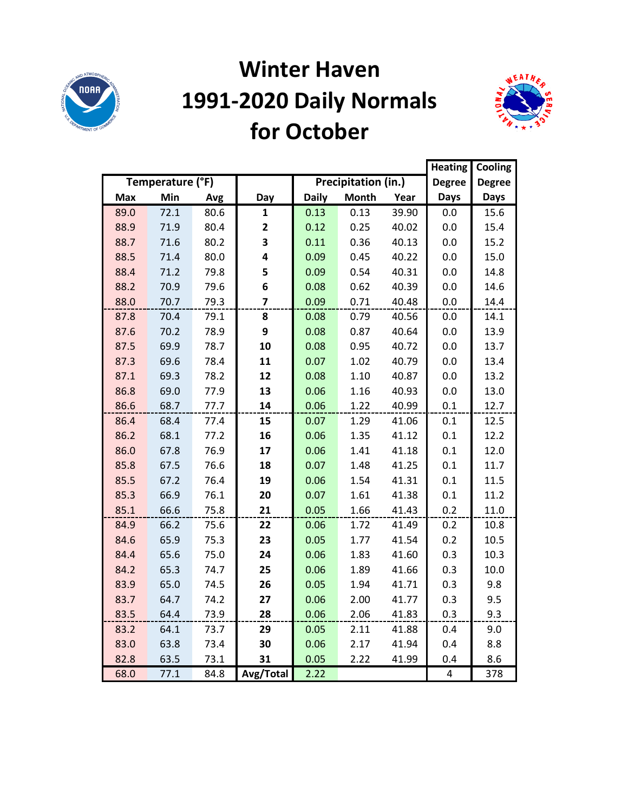

#### **Winter Haven 1991-2020 Daily Normals for October**



|            |                  |      |                         |              |                     |       | <b>Heating</b> | Cooling       |
|------------|------------------|------|-------------------------|--------------|---------------------|-------|----------------|---------------|
|            | Temperature (°F) |      |                         |              | Precipitation (in.) |       | <b>Degree</b>  | <b>Degree</b> |
| <b>Max</b> | Min              | Avg  | Day                     | <b>Daily</b> | <b>Month</b>        | Year  | <b>Days</b>    | <b>Days</b>   |
| 89.0       | 72.1             | 80.6 | 1                       | 0.13         | 0.13                | 39.90 | 0.0            | 15.6          |
| 88.9       | 71.9             | 80.4 | $\mathbf{2}$            | 0.12         | 0.25                | 40.02 | 0.0            | 15.4          |
| 88.7       | 71.6             | 80.2 | 3                       | 0.11         | 0.36                | 40.13 | 0.0            | 15.2          |
| 88.5       | 71.4             | 80.0 | 4                       | 0.09         | 0.45                | 40.22 | 0.0            | 15.0          |
| 88.4       | 71.2             | 79.8 | 5                       | 0.09         | 0.54                | 40.31 | 0.0            | 14.8          |
| 88.2       | 70.9             | 79.6 | 6                       | 0.08         | 0.62                | 40.39 | 0.0            | 14.6          |
| 88.0       | 70.7             | 79.3 | $\overline{\mathbf{z}}$ | 0.09         | 0.71                | 40.48 | 0.0            | 14.4          |
| 87.8       | 70.4             | 79.1 | 8                       | 0.08         | 0.79                | 40.56 | 0.0            | 14.1          |
| 87.6       | 70.2             | 78.9 | 9                       | 0.08         | 0.87                | 40.64 | 0.0            | 13.9          |
| 87.5       | 69.9             | 78.7 | 10                      | 0.08         | 0.95                | 40.72 | 0.0            | 13.7          |
| 87.3       | 69.6             | 78.4 | 11                      | 0.07         | 1.02                | 40.79 | 0.0            | 13.4          |
| 87.1       | 69.3             | 78.2 | 12                      | 0.08         | 1.10                | 40.87 | 0.0            | 13.2          |
| 86.8       | 69.0             | 77.9 | 13                      | 0.06         | 1.16                | 40.93 | 0.0            | 13.0          |
| 86.6       | 68.7             | 77.7 | 14                      | 0.06         | 1.22                | 40.99 | 0.1            | 12.7          |
| 86.4       | 68.4             | 77.4 | 15                      | 0.07         | 1.29                | 41.06 | 0.1            | 12.5          |
| 86.2       | 68.1             | 77.2 | 16                      | 0.06         | 1.35                | 41.12 | 0.1            | 12.2          |
| 86.0       | 67.8             | 76.9 | 17                      | 0.06         | 1.41                | 41.18 | 0.1            | 12.0          |
| 85.8       | 67.5             | 76.6 | 18                      | 0.07         | 1.48                | 41.25 | 0.1            | 11.7          |
| 85.5       | 67.2             | 76.4 | 19                      | 0.06         | 1.54                | 41.31 | 0.1            | 11.5          |
| 85.3       | 66.9             | 76.1 | 20                      | 0.07         | 1.61                | 41.38 | 0.1            | 11.2          |
| 85.1       | 66.6             | 75.8 | 21                      | 0.05         | 1.66                | 41.43 | 0.2            | 11.0          |
| 84.9       | 66.2             | 75.6 | 22                      | 0.06         | 1.72                | 41.49 | 0.2            | 10.8          |
| 84.6       | 65.9             | 75.3 | 23                      | 0.05         | 1.77                | 41.54 | 0.2            | 10.5          |
| 84.4       | 65.6             | 75.0 | 24                      | 0.06         | 1.83                | 41.60 | 0.3            | 10.3          |
| 84.2       | 65.3             | 74.7 | 25                      | 0.06         | 1.89                | 41.66 | 0.3            | 10.0          |
| 83.9       | 65.0             | 74.5 | 26                      | 0.05         | 1.94                | 41.71 | 0.3            | 9.8           |
| 83.7       | 64.7             | 74.2 | 27                      | 0.06         | 2.00                | 41.77 | 0.3            | 9.5           |
| 83.5       | 64.4             | 73.9 | 28                      | 0.06         | 2.06                | 41.83 | 0.3            | 9.3           |
| 83.2       | 64.1             | 73.7 | 29                      | 0.05         | 2.11                | 41.88 | 0.4            | 9.0           |
| 83.0       | 63.8             | 73.4 | 30                      | 0.06         | 2.17                | 41.94 | 0.4            | 8.8           |
| 82.8       | 63.5             | 73.1 | 31                      | 0.05         | 2.22                | 41.99 | 0.4            | 8.6           |
| 68.0       | 77.1             | 84.8 | Avg/Total               | 2.22         |                     |       | 4              | 378           |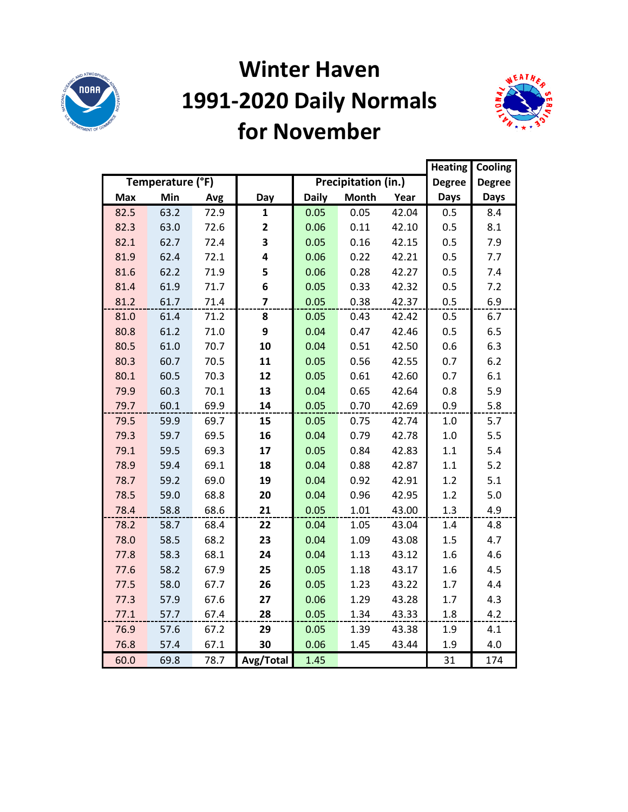

#### **Winter Haven 1991-2020 Daily Normals for November**



|            |                  |      |                |              |                     |       | <b>Heating</b> | Cooling       |
|------------|------------------|------|----------------|--------------|---------------------|-------|----------------|---------------|
|            | Temperature (°F) |      |                |              | Precipitation (in.) |       | <b>Degree</b>  | <b>Degree</b> |
| <b>Max</b> | Min              | Avg  | Day            | <b>Daily</b> | <b>Month</b>        | Year  | <b>Days</b>    | <b>Days</b>   |
| 82.5       | 63.2             | 72.9 | $\mathbf{1}$   | 0.05         | 0.05                | 42.04 | 0.5            | 8.4           |
| 82.3       | 63.0             | 72.6 | $\mathbf{2}$   | 0.06         | 0.11                | 42.10 | 0.5            | 8.1           |
| 82.1       | 62.7             | 72.4 | 3              | 0.05         | 0.16                | 42.15 | 0.5            | 7.9           |
| 81.9       | 62.4             | 72.1 | 4              | 0.06         | 0.22                | 42.21 | 0.5            | 7.7           |
| 81.6       | 62.2             | 71.9 | 5              | 0.06         | 0.28                | 42.27 | 0.5            | 7.4           |
| 81.4       | 61.9             | 71.7 | 6              | 0.05         | 0.33                | 42.32 | 0.5            | 7.2           |
| 81.2       | 61.7             | 71.4 | $\overline{7}$ | 0.05         | 0.38                | 42.37 | 0.5            | 6.9           |
| 81.0       | 61.4             | 71.2 | 8              | 0.05         | 0.43                | 42.42 | 0.5            | 6.7           |
| 80.8       | 61.2             | 71.0 | 9              | 0.04         | 0.47                | 42.46 | 0.5            | 6.5           |
| 80.5       | 61.0             | 70.7 | 10             | 0.04         | 0.51                | 42.50 | 0.6            | 6.3           |
| 80.3       | 60.7             | 70.5 | 11             | 0.05         | 0.56                | 42.55 | 0.7            | 6.2           |
| 80.1       | 60.5             | 70.3 | 12             | 0.05         | 0.61                | 42.60 | 0.7            | 6.1           |
| 79.9       | 60.3             | 70.1 | 13             | 0.04         | 0.65                | 42.64 | 0.8            | 5.9           |
| 79.7       | 60.1             | 69.9 | 14             | 0.05         | 0.70                | 42.69 | 0.9            | 5.8           |
| 79.5       | 59.9             | 69.7 | 15             | 0.05         | 0.75                | 42.74 | 1.0            | 5.7           |
| 79.3       | 59.7             | 69.5 | 16             | 0.04         | 0.79                | 42.78 | 1.0            | 5.5           |
| 79.1       | 59.5             | 69.3 | 17             | 0.05         | 0.84                | 42.83 | 1.1            | 5.4           |
| 78.9       | 59.4             | 69.1 | 18             | 0.04         | 0.88                | 42.87 | $1.1\,$        | 5.2           |
| 78.7       | 59.2             | 69.0 | 19             | 0.04         | 0.92                | 42.91 | 1.2            | 5.1           |
| 78.5       | 59.0             | 68.8 | 20             | 0.04         | 0.96                | 42.95 | 1.2            | 5.0           |
| 78.4       | 58.8             | 68.6 | 21             | 0.05         | 1.01                | 43.00 | 1.3            | 4.9           |
| 78.2       | 58.7             | 68.4 | 22             | 0.04         | 1.05                | 43.04 | 1.4            | 4.8           |
| 78.0       | 58.5             | 68.2 | 23             | 0.04         | 1.09                | 43.08 | 1.5            | 4.7           |
| 77.8       | 58.3             | 68.1 | 24             | 0.04         | 1.13                | 43.12 | 1.6            | 4.6           |
| 77.6       | 58.2             | 67.9 | 25             | 0.05         | 1.18                | 43.17 | 1.6            | 4.5           |
| 77.5       | 58.0             | 67.7 | 26             | 0.05         | 1.23                | 43.22 | 1.7            | 4.4           |
| 77.3       | 57.9             | 67.6 | 27             | 0.06         | 1.29                | 43.28 | 1.7            | 4.3           |
| 77.1       | 57.7             | 67.4 | 28             | 0.05         | 1.34                | 43.33 | 1.8            | 4.2           |
| 76.9       | 57.6             | 67.2 | 29             | 0.05         | 1.39                | 43.38 | 1.9            | 4.1           |
| 76.8       | 57.4             | 67.1 | 30             | 0.06         | 1.45                | 43.44 | 1.9            | 4.0           |
| 60.0       | 69.8             | 78.7 | Avg/Total      | 1.45         |                     |       | 31             | 174           |